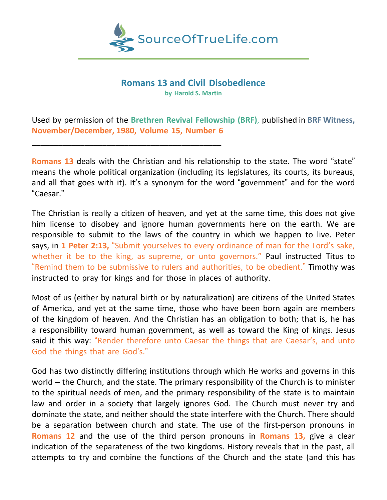

# **Romans 13 and Civil Disobedience**

**by Harold S. Martin**

Used by permission of the **Brethren Revival Fellowship (BRF)**, published in **BRF Witness, November/December, 1980, Volume 15, Number 6**

\_\_\_\_\_\_\_\_\_\_\_\_\_\_\_\_\_\_\_\_\_\_\_\_\_\_\_\_\_\_\_\_\_\_\_\_\_\_\_\_\_\_\_

**Romans 13** deals with the Christian and his relationship to the state. The word "state" means the whole political organization (including its legislatures, its courts, its bureaus, and all that goes with it). It's a synonym for the word "government" and for the word "Caesar."

The Christian is really a citizen of heaven, and yet at the same time, this does not give him license to disobey and ignore human governments here on the earth. We are responsible to submit to the laws of the country in which we happen to live. Peter says, in **1 Peter 2:13,** "Submit yourselves to every ordinance of man for the Lord's sake, whether it be to the king, as supreme, or unto governors." Paul instructed Titus to "Remind them to be submissive to rulers and authorities, to be obedient." Timothy was instructed to pray for kings and for those in places of authority.

Most of us (either by natural birth or by naturalization) are citizens of the United States of America, and yet at the same time, those who have been born again are members of the kingdom of heaven. And the Christian has an obligation to both; that is, he has a responsibility toward human government, as well as toward the King of kings. Jesus said it this way: "Render therefore unto Caesar the things that are Caesar's, and unto God the things that are God's."

God has two distinctly differing institutions through which He works and governs in this world – the Church, and the state. The primary responsibility of the Church is to minister to the spiritual needs of men, and the primary responsibility of the state is to maintain law and order in a society that largely ignores God. The Church must never try and dominate the state, and neither should the state interfere with the Church. There should be a separation between church and state. The use of the first-person pronouns in **Romans 12** and the use of the third person pronouns in **Romans 13,** give a clear indication of the separateness of the two kingdoms. History reveals that in the past, all attempts to try and combine the functions of the Church and the state (and this has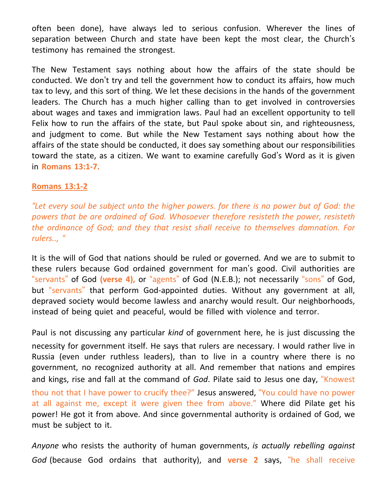often been done), have always led to serious confusion. Wherever the lines of separation between Church and state have been kept the most clear, the Church's testimony has remained the strongest.

The New Testament says nothing about how the affairs of the state should be conducted. We don't try and tell the government how to conduct its affairs, how much tax to levy, and this sort of thing. We let these decisions in the hands of the government leaders. The Church has a much higher calling than to get involved in controversies about wages and taxes and immigration laws. Paul had an excellent opportunity to tell Felix how to run the affairs of the state, but Paul spoke about sin, and righteousness, and judgment to come. But while the New Testament says nothing about how the affairs of the state should be conducted, it does say something about our responsibilities toward the state, as a citizen. We want to examine carefully God's Word as it is given in **Romans 13:1-7.**

## **Romans 13:1-2**

*"Let every soul be subject unto the higher powers. for there is no power but of God: the powers that be are ordained of God. Whosoever therefore resisteth the power, resisteth the ordinance of God; and they that resist shall receive to themselves damnation. For rulers.., "*

It is the will of God that nations should be ruled or governed. And we are to submit to these rulers because God ordained government for man's good. Civil authorities are "servants" of God **(verse 4),** or "agents" of God (N.E.B.); not necessarily "sons" of God, but "servants" that perform God-appointed duties. Without any government at all, depraved society would become lawless and anarchy would result. Our neighborhoods, instead of being quiet and peaceful, would be filled with violence and terror.

Paul is not discussing any particular *kind* of government here, he is just discussing the necessity for government itself. He says that rulers are necessary. I would rather live in Russia (even under ruthless leaders), than to live in a country where there is no government, no recognized authority at all. And remember that nations and empires and kings, rise and fall at the command of *God*. Pilate said to Jesus one day, "Knowest thou not that I have power to crucify thee?" Jesus answered, "You could have no power at all against me, except it were given thee from above." Where did Pilate get his power! He got it from above. And since governmental authority is ordained of God, we must be subject to it.

*Anyone* who resists the authority of human governments, *is actually rebelling against God* (because God ordains that authority), and **verse 2** says, "he shall receive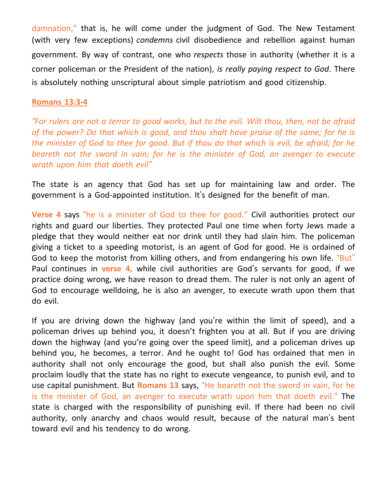damnation," that is, he will come under the judgment of God. The New Testament (with very few exceptions) *condemns* civil disobedience and rebellion against human government. By way of contrast, one who *respects* those in authority (whether it is a corner policeman or the President of the nation), *is really paying respect to God*. There is absolutely nothing unscriptural about simple patriotism and good citizenship.

#### **Romans 13:3-4**

"For rulers are not a terror to good works, but to the evil. Wilt thou, then, not be afraid *of the power? Do that which is good, and thou shalt have praise of the same; for he is* the minister of God to thee for good. But if thou do that which is evil, be afraid; for he *beareth not the sword in vain; for he is the minister of God, an avenger to execute wrath upon him that doeth evil"*

The state is an agency that God has set up for maintaining law and order. The government is a God-appointed institution. It's designed for the benefit of man.

**Verse 4** says "he is a minister of God to thee for good." Civil authorities protect our rights and guard our liberties. They protected Paul one time when forty Jews made a pledge that they would neither eat nor drink until they had slain him. The policeman giving a ticket to a speeding motorist, is an agent of God for good. He is ordained of God to keep the motorist from killing others, and from endangering his own life. "But" Paul continues in **verse 4,** while civil authorities are God's servants for good, if we practice doing wrong, we have reason to dread them. The ruler is not only an agent of God to encourage welldoing, he is also an avenger, to execute wrath upon them that do evil.

If you are driving down the highway (and you're within the limit of speed), and a policeman drives up behind you, it doesn't frighten you at all. But if you are driving down the highway (and you're going over the speed limit), and a policeman drives up behind you, he becomes, a terror. And he ought to! God has ordained that men in authority shall not only encourage the good, but shall also punish the evil. Some proclaim loudly that the state has no right to execute vengeance, to punish evil, and to use capital punishment. But **Romans 13** says, "He beareth not the sword in vain, for he is the minister of God, an avenger to execute wrath upon him that doeth evil." The state is charged with the responsibility of punishing evil. If there had been no civil authority, only anarchy and chaos would result, because of the natural man's bent toward evil and his tendency to do wrong.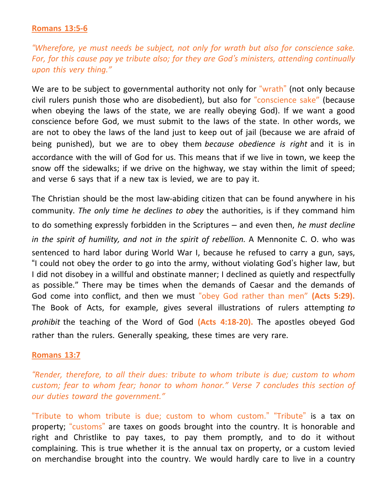### **Romans 13:5-6**

*"Wherefore, ye must needs be subject, not only for wrath but also for conscience sake. For, for this cause pay ye tribute also; for they are God's ministers, attending continually upon this very thing."*

We are to be subject to governmental authority not only for "wrath" (not only because civil rulers punish those who are disobedient), but also for "conscience sake" (because when obeying the laws of the state, we are really obeying God). If we want a good conscience before God, we must submit to the laws of the state. In other words, we are not to obey the laws of the land just to keep out of jail (because we are afraid of being punished), but we are to obey them *because obedience is right* and it is in accordance with the will of God for us. This means that if we live in town, we keep the snow off the sidewalks; if we drive on the highway, we stay within the limit of speed; and verse 6 says that if a new tax is levied, we are to pay it.

The Christian should be the most law-abiding citizen that can be found anywhere in his community. *The only time he declines to obey* the authorities, is if they command him to do something expressly forbidden in the Scriptures – and even then, *he must decline in the spirit of humility, and not in the spirit of rebellion.* A Mennonite C. O. who was sentenced to hard labor during World War I, because he refused to carry a gun, says, "I could not obey the order to go into the army, without violating God's higher law, but I did not disobey in a willful and obstinate manner; I declined as quietly and respectfully as possible." There may be times when the demands of Caesar and the demands of God come into conflict, and then we must "obey God rather than men" **(Acts 5:29).** The Book of Acts, for example, gives several illustrations of rulers attempting *to prohibit* the teaching of the Word of God **(Acts 4:18-20).** The apostles obeyed God rather than the rulers. Generally speaking, these times are very rare.

#### **Romans 13:7**

*"Render, therefore, to all their dues: tribute to whom tribute is due; custom to whom custom; fear to whom fear; honor to whom honor." Verse 7 concludes this section of our duties toward the government."*

"Tribute to whom tribute is due; custom to whom custom." "Tribute" is a tax on property; "customs" are taxes on goods brought into the country. It is honorable and right and Christlike to pay taxes, to pay them promptly, and to do it without complaining. This is true whether it is the annual tax on property, or a custom levied on merchandise brought into the country. We would hardly care to live in a country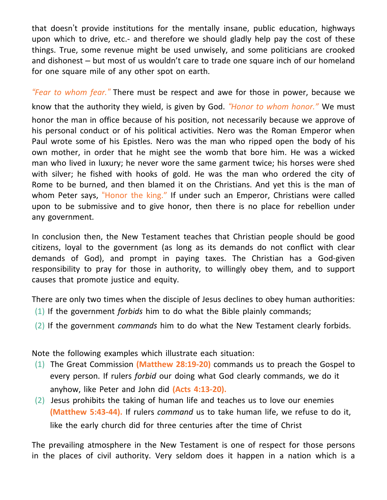that doesn't provide institutions for the mentally insane, public education, highways upon which to drive, etc.- and therefore we should gladly help pay the cost of these things. True, some revenue might be used unwisely, and some politicians are crooked and dishonest – but most of us wouldn't care to trade one square inch of our homeland for one square mile of any other spot on earth.

*"Fear to whom fear."* There must be respect and awe for those in power, because we know that the authority they wield, is given by God. *"Honor to whom honor."* We must honor the man in office because of his position, not necessarily because we approve of his personal conduct or of his political activities. Nero was the Roman Emperor when Paul wrote some of his Epistles. Nero was the man who ripped open the body of his own mother, in order that he might see the womb that bore him. He was a wicked man who lived in luxury; he never wore the same garment twice; his horses were shed with silver; he fished with hooks of gold. He was the man who ordered the city of Rome to be burned, and then blamed it on the Christians. And yet this is the man of whom Peter says, "Honor the king." If under such an Emperor, Christians were called upon to be submissive and to give honor, then there is no place for rebellion under any government.

In conclusion then, the New Testament teaches that Christian people should be good citizens, loyal to the government (as long as its demands do not conflict with clear demands of God), and prompt in paying taxes. The Christian has a God-given responsibility to pray for those in authority, to willingly obey them, and to support causes that promote justice and equity.

There are only two times when the disciple of Jesus declines to obey human authorities:

- (1) If the government *forbids* him to do what the Bible plainly commands;
- (2) If the government *commands* him to do what the New Testament clearly forbids.

Note the following examples which illustrate each situation:

- (1) The Great Commission **(Matthew 28:19-20)** commands us to preach the Gospel to every person. If rulers *forbid* our doing what God clearly commands, we do it anyhow, like Peter and John did **(Acts 4:13-20).**
- (2) Jesus prohibits the taking of human life and teaches us to love our enemies **(Matthew 5:43-44).** If rulers *command* us to take human life, we refuse to do it, like the early church did for three centuries after the time of Christ

The prevailing atmosphere in the New Testament is one of respect for those persons in the places of civil authority. Very seldom does it happen in a nation which is a